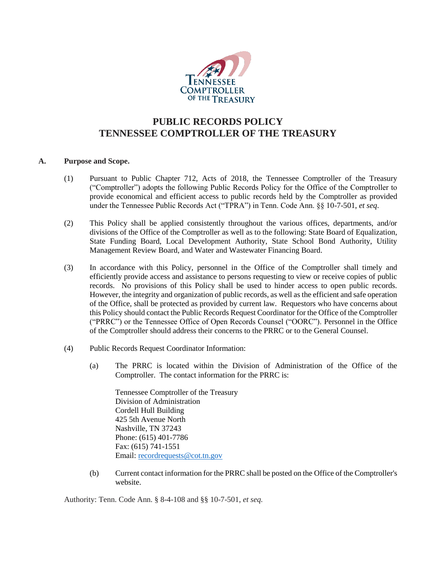

# **PUBLIC RECORDS POLICY TENNESSEE COMPTROLLER OF THE TREASURY**

# **A. Purpose and Scope.**

- (1) Pursuant to Public Chapter 712, Acts of 2018, the Tennessee Comptroller of the Treasury ("Comptroller") adopts the following Public Records Policy for the Office of the Comptroller to provide economical and efficient access to public records held by the Comptroller as provided under the Tennessee Public Records Act ("TPRA") in Tenn. Code Ann. §§ 10-7-501, *et seq*.
- (2) This Policy shall be applied consistently throughout the various offices, departments, and/or divisions of the Office of the Comptroller as well as to the following: State Board of Equalization, State Funding Board, Local Development Authority, State School Bond Authority, Utility Management Review Board, and Water and Wastewater Financing Board.
- (3) In accordance with this Policy, personnel in the Office of the Comptroller shall timely and efficiently provide access and assistance to persons requesting to view or receive copies of public records. No provisions of this Policy shall be used to hinder access to open public records. However, the integrity and organization of public records, as well as the efficient and safe operation of the Office, shall be protected as provided by current law. Requestors who have concerns about this Policy should contact the Public Records Request Coordinator for the Office of the Comptroller ("PRRC") or the Tennessee Office of Open Records Counsel ("OORC"). Personnel in the Office of the Comptroller should address their concerns to the PRRC or to the General Counsel.
- (4) Public Records Request Coordinator Information:
	- (a) The PRRC is located within the Division of Administration of the Office of the Comptroller. The contact information for the PRRC is:

Tennessee Comptroller of the Treasury Division of Administration Cordell Hull Building 425 5th Avenue North Nashville, TN 37243 Phone: (615) 401-7786 Fax: (615) 741-1551 Email: [recordrequests@cot.tn.gov](mailto:recordrequests@cot.tn.gov)

(b) Current contact information for the PRRC shall be posted on the Office of the Comptroller's website.

Authority: Tenn. Code Ann. § 8-4-108 and §§ 10-7-501, *et seq.*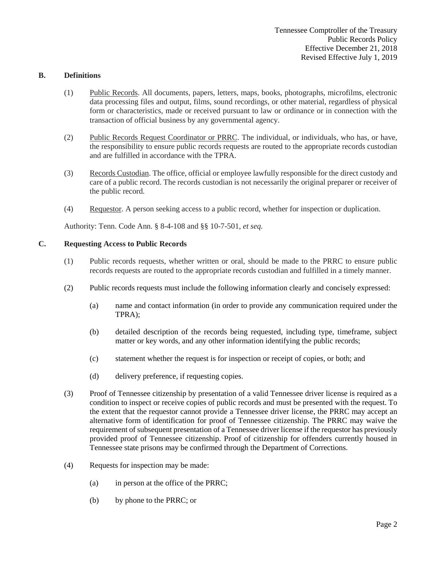## **B. Definitions**

- (1) Public Records. All documents, papers, letters, maps, books, photographs, microfilms, electronic data processing files and output, films, sound recordings, or other material, regardless of physical form or characteristics, made or received pursuant to law or ordinance or in connection with the transaction of official business by any governmental agency.
- (2) Public Records Request Coordinator or PRRC. The individual, or individuals, who has, or have, the responsibility to ensure public records requests are routed to the appropriate records custodian and are fulfilled in accordance with the TPRA.
- (3) Records Custodian. The office, official or employee lawfully responsible for the direct custody and care of a public record. The records custodian is not necessarily the original preparer or receiver of the public record.
- (4) Requestor. A person seeking access to a public record, whether for inspection or duplication.

Authority: Tenn. Code Ann. § 8-4-108 and §§ 10-7-501, *et seq.*

# **C. Requesting Access to Public Records**

- (1) Public records requests, whether written or oral, should be made to the PRRC to ensure public records requests are routed to the appropriate records custodian and fulfilled in a timely manner.
- (2) Public records requests must include the following information clearly and concisely expressed:
	- (a) name and contact information (in order to provide any communication required under the TPRA);
	- (b) detailed description of the records being requested, including type, timeframe, subject matter or key words, and any other information identifying the public records;
	- (c) statement whether the request is for inspection or receipt of copies, or both; and
	- (d) delivery preference, if requesting copies.
- (3) Proof of Tennessee citizenship by presentation of a valid Tennessee driver license is required as a condition to inspect or receive copies of public records and must be presented with the request. To the extent that the requestor cannot provide a Tennessee driver license, the PRRC may accept an alternative form of identification for proof of Tennessee citizenship. The PRRC may waive the requirement of subsequent presentation of a Tennessee driver license if the requestor has previously provided proof of Tennessee citizenship. Proof of citizenship for offenders currently housed in Tennessee state prisons may be confirmed through the Department of Corrections.
- (4) Requests for inspection may be made:
	- (a) in person at the office of the PRRC;
	- (b) by phone to the PRRC; or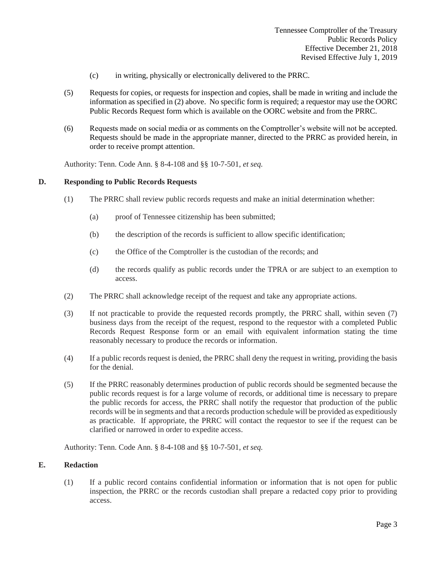- (c) in writing, physically or electronically delivered to the PRRC.
- (5) Requests for copies, or requests for inspection and copies, shall be made in writing and include the information as specified in (2) above. No specific form is required; a requestor may use the OORC Public Records Request form which is available on the OORC website and from the PRRC.
- (6) Requests made on social media or as comments on the Comptroller's website will not be accepted. Requests should be made in the appropriate manner, directed to the PRRC as provided herein, in order to receive prompt attention.

Authority: Tenn. Code Ann. § 8-4-108 and §§ 10-7-501, *et seq.*

# **D. Responding to Public Records Requests**

- (1) The PRRC shall review public records requests and make an initial determination whether:
	- (a) proof of Tennessee citizenship has been submitted;
	- (b) the description of the records is sufficient to allow specific identification;
	- (c) the Office of the Comptroller is the custodian of the records; and
	- (d) the records qualify as public records under the TPRA or are subject to an exemption to access.
- (2) The PRRC shall acknowledge receipt of the request and take any appropriate actions.
- (3) If not practicable to provide the requested records promptly, the PRRC shall, within seven (7) business days from the receipt of the request, respond to the requestor with a completed Public Records Request Response form or an email with equivalent information stating the time reasonably necessary to produce the records or information.
- (4) If a public records request is denied, the PRRC shall deny the request in writing, providing the basis for the denial.
- (5) If the PRRC reasonably determines production of public records should be segmented because the public records request is for a large volume of records, or additional time is necessary to prepare the public records for access, the PRRC shall notify the requestor that production of the public records will be in segments and that a records production schedule will be provided as expeditiously as practicable. If appropriate, the PRRC will contact the requestor to see if the request can be clarified or narrowed in order to expedite access.

Authority: Tenn. Code Ann. § 8-4-108 and §§ 10-7-501, *et seq.*

#### **E. Redaction**

(1) If a public record contains confidential information or information that is not open for public inspection, the PRRC or the records custodian shall prepare a redacted copy prior to providing access.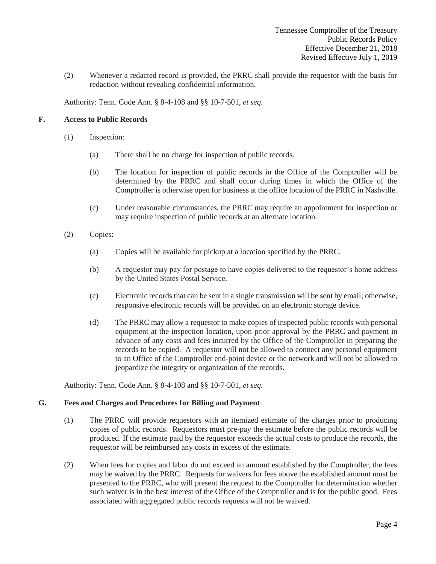(2) Whenever a redacted record is provided, the PRRC shall provide the requestor with the basis for redaction without revealing confidential information.

Authority: Tenn. Code Ann. § 8-4-108 and §§ 10-7-501, *et seq.*

# **F. Access to Public Records**

- (1) Inspection:
	- (a) There shall be no charge for inspection of public records.
	- (b) The location for inspection of public records in the Office of the Comptroller will be determined by the PRRC and shall occur during times in which the Office of the Comptroller is otherwise open for business at the office location of the PRRC in Nashville.
	- (c) Under reasonable circumstances, the PRRC may require an appointment for inspection or may require inspection of public records at an alternate location.
- (2) Copies:
	- (a) Copies will be available for pickup at a location specified by the PRRC.
	- (b) A requestor may pay for postage to have copies delivered to the requestor's home address by the United States Postal Service.
	- (c) Electronic records that can be sent in a single transmission will be sent by email; otherwise, responsive electronic records will be provided on an electronic storage device.
	- (d) The PRRC may allow a requestor to make copies of inspected public records with personal equipment at the inspection location, upon prior approval by the PRRC and payment in advance of any costs and fees incurred by the Office of the Comptroller in preparing the records to be copied. A requestor will not be allowed to connect any personal equipment to an Office of the Comptroller end-point device or the network and will not be allowed to jeopardize the integrity or organization of the records.

Authority: Tenn. Code Ann. § 8-4-108 and §§ 10-7-501, *et seq.*

#### **G. Fees and Charges and Procedures for Billing and Payment**

- (1) The PRRC will provide requestors with an itemized estimate of the charges prior to producing copies of public records. Requestors must pre-pay the estimate before the public records will be produced. If the estimate paid by the requestor exceeds the actual costs to produce the records, the requestor will be reimbursed any costs in excess of the estimate.
- (2) When fees for copies and labor do not exceed an amount established by the Comptroller, the fees may be waived by the PRRC. Requests for waivers for fees above the established amount must be presented to the PRRC, who will present the request to the Comptroller for determination whether such waiver is in the best interest of the Office of the Comptroller and is for the public good. Fees associated with aggregated public records requests will not be waived.